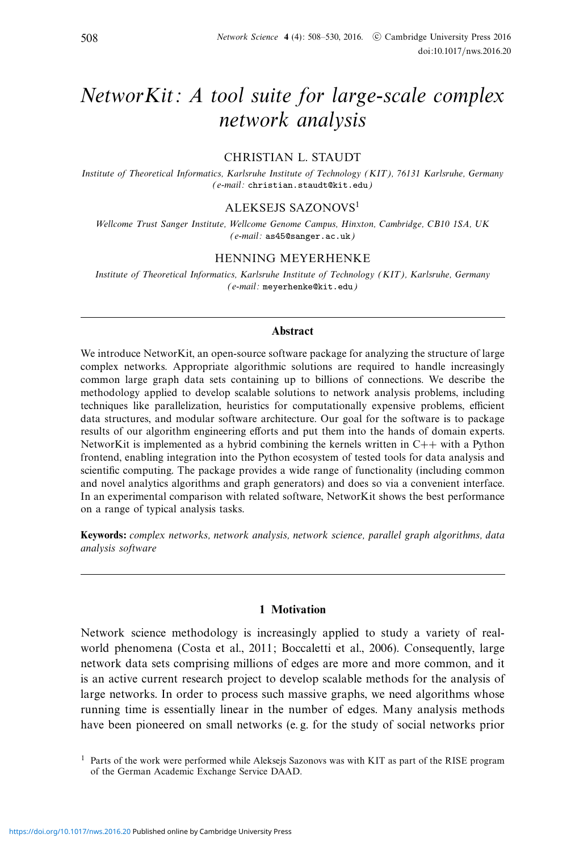# NetworKit: A tool suite for large-scale complex network analysis

# CHRISTIAN L. STAUDT

Institute of Theoretical Informatics, Karlsruhe Institute of Technology (KIT), 76131 Karlsruhe, Germany (e-mail: christian.staudt@kit.edu)

#### ALEKSEJS SAZONOVS1

Wellcome Trust Sanger Institute, Wellcome Genome Campus, Hinxton, Cambridge, CB10 1SA, UK (e-mail: as45@sanger.ac.uk)

# HENNING MEYERHENKE

Institute of Theoretical Informatics, Karlsruhe Institute of Technology (KIT), Karlsruhe, Germany (e-mail: meyerhenke@kit.edu)

# **Abstract**

We introduce NetworKit, an open-source software package for analyzing the structure of large complex networks. Appropriate algorithmic solutions are required to handle increasingly common large graph data sets containing up to billions of connections. We describe the methodology applied to develop scalable solutions to network analysis problems, including techniques like parallelization, heuristics for computationally expensive problems, efficient data structures, and modular software architecture. Our goal for the software is to package results of our algorithm engineering efforts and put them into the hands of domain experts. NetworKit is implemented as a hybrid combining the kernels written in  $C++$  with a Python frontend, enabling integration into the Python ecosystem of tested tools for data analysis and scientific computing. The package provides a wide range of functionality (including common and novel analytics algorithms and graph generators) and does so via a convenient interface. In an experimental comparison with related software, NetworKit shows the best performance on a range of typical analysis tasks.

**Keywords:** complex networks, network analysis, network science, parallel graph algorithms, data analysis software

# **1 Motivation**

Network science methodology is increasingly applied to study a variety of realworld phenomena (Costa et al., 2011; Boccaletti et al., 2006). Consequently, large network data sets comprising millions of edges are more and more common, and it is an active current research project to develop scalable methods for the analysis of large networks. In order to process such massive graphs, we need algorithms whose running time is essentially linear in the number of edges. Many analysis methods have been pioneered on small networks (e. g. for the study of social networks prior

<sup>&</sup>lt;sup>1</sup> Parts of the work were performed while Aleksejs Sazonovs was with KIT as part of the RISE program of the German Academic Exchange Service DAAD.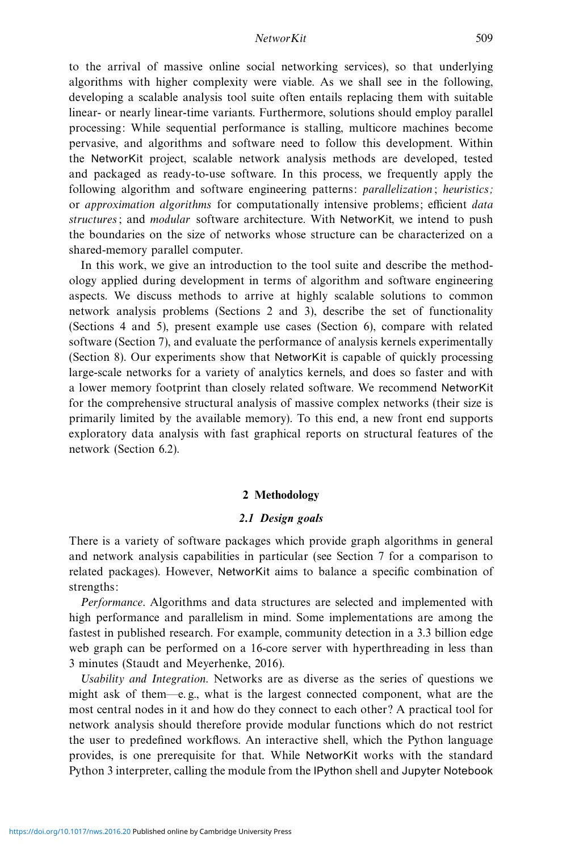to the arrival of massive online social networking services), so that underlying algorithms with higher complexity were viable. As we shall see in the following, developing a scalable analysis tool suite often entails replacing them with suitable linear- or nearly linear-time variants. Furthermore, solutions should employ parallel processing: While sequential performance is stalling, multicore machines become pervasive, and algorithms and software need to follow this development. Within the NetworKit project, scalable network analysis methods are developed, tested and packaged as ready-to-use software. In this process, we frequently apply the following algorithm and software engineering patterns: *parallelization*; *heuristics*; or approximation algorithms for computationally intensive problems; efficient data structures; and *modular* software architecture. With NetworKit, we intend to push the boundaries on the size of networks whose structure can be characterized on a shared-memory parallel computer.

In this work, we give an introduction to the tool suite and describe the methodology applied during development in terms of algorithm and software engineering aspects. We discuss methods to arrive at highly scalable solutions to common network analysis problems (Sections 2 and 3), describe the set of functionality (Sections 4 and 5), present example use cases (Section 6), compare with related software (Section 7), and evaluate the performance of analysis kernels experimentally (Section 8). Our experiments show that NetworKit is capable of quickly processing large-scale networks for a variety of analytics kernels, and does so faster and with a lower memory footprint than closely related software. We recommend NetworKit for the comprehensive structural analysis of massive complex networks (their size is primarily limited by the available memory). To this end, a new front end supports exploratory data analysis with fast graphical reports on structural features of the network (Section 6.2).

## **2 Methodology**

#### *2.1 Design goals*

There is a variety of software packages which provide graph algorithms in general and network analysis capabilities in particular (see Section 7 for a comparison to related packages). However, NetworKit aims to balance a specific combination of strengths:

Performance. Algorithms and data structures are selected and implemented with high performance and parallelism in mind. Some implementations are among the fastest in published research. For example, community detection in a 3.3 billion edge web graph can be performed on a 16-core server with hyperthreading in less than 3 minutes (Staudt and Meyerhenke, 2016).

Usability and Integration. Networks are as diverse as the series of questions we might ask of them—e. g., what is the largest connected component, what are the most central nodes in it and how do they connect to each other? A practical tool for network analysis should therefore provide modular functions which do not restrict the user to predefined workflows. An interactive shell, which the Python language provides, is one prerequisite for that. While NetworKit works with the standard Python 3 interpreter, calling the module from the IPython shell and Jupyter Notebook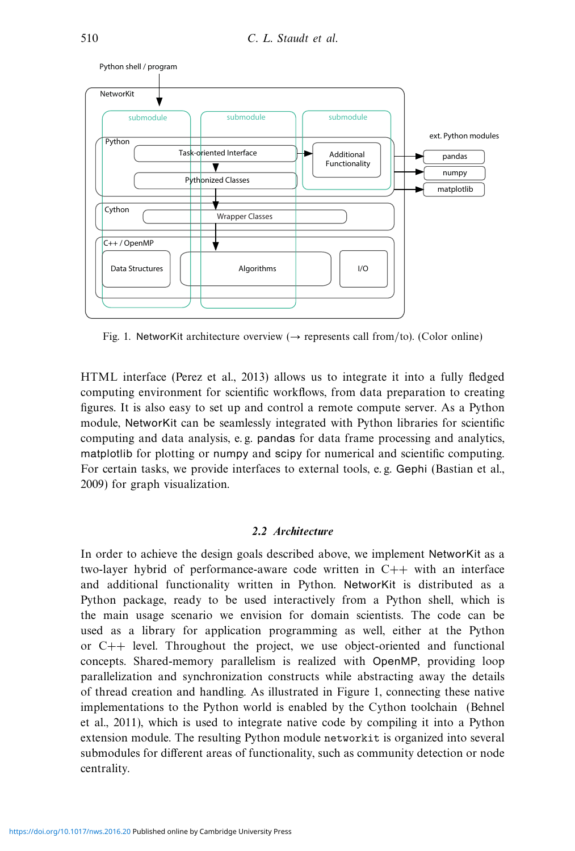

Fig. 1. NetworKit architecture overview  $\rightarrow$  represents call from/to). (Color online)

HTML interface (Perez et al., 2013) allows us to integrate it into a fully fledged computing environment for scientific workflows, from data preparation to creating figures. It is also easy to set up and control a remote compute server. As a Python module, NetworKit can be seamlessly integrated with Python libraries for scientific computing and data analysis, e. g. pandas for data frame processing and analytics, matplotlib for plotting or numpy and scipy for numerical and scientific computing. For certain tasks, we provide interfaces to external tools, e. g. Gephi (Bastian et al., 2009) for graph visualization.

# *2.2 Architecture*

In order to achieve the design goals described above, we implement NetworKit as a two-layer hybrid of performance-aware code written in C++ with an interface and additional functionality written in Python. NetworKit is distributed as a Python package, ready to be used interactively from a Python shell, which is the main usage scenario we envision for domain scientists. The code can be used as a library for application programming as well, either at the Python or C++ level. Throughout the project, we use object-oriented and functional concepts. Shared-memory parallelism is realized with OpenMP, providing loop parallelization and synchronization constructs while abstracting away the details of thread creation and handling. As illustrated in Figure 1, connecting these native implementations to the Python world is enabled by the Cython toolchain (Behnel et al., 2011), which is used to integrate native code by compiling it into a Python extension module. The resulting Python module networkit is organized into several submodules for different areas of functionality, such as community detection or node centrality.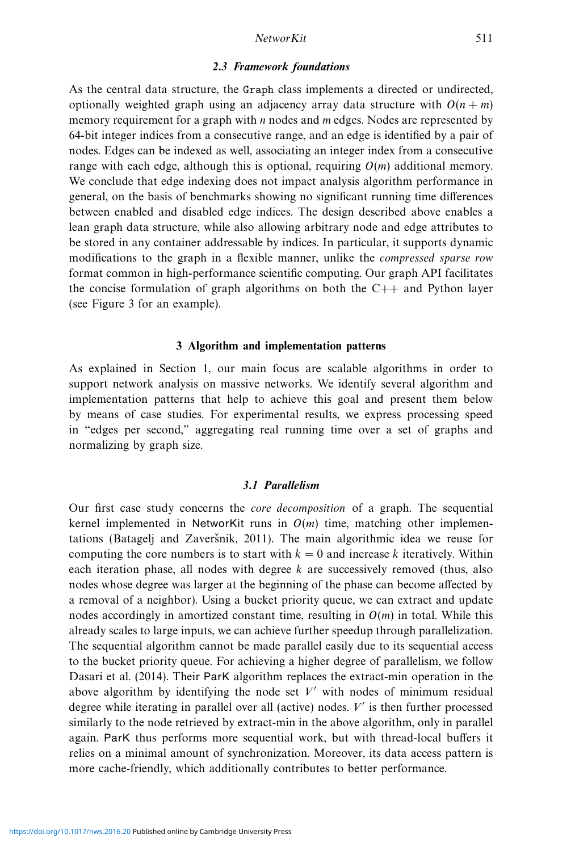# *2.3 Framework foundations*

As the central data structure, the Graph class implements a directed or undirected, optionally weighted graph using an adjacency array data structure with  $O(n + m)$ memory requirement for a graph with  $n$  nodes and  $m$  edges. Nodes are represented by 64-bit integer indices from a consecutive range, and an edge is identified by a pair of nodes. Edges can be indexed as well, associating an integer index from a consecutive range with each edge, although this is optional, requiring  $O(m)$  additional memory. We conclude that edge indexing does not impact analysis algorithm performance in general, on the basis of benchmarks showing no significant running time differences between enabled and disabled edge indices. The design described above enables a lean graph data structure, while also allowing arbitrary node and edge attributes to be stored in any container addressable by indices. In particular, it supports dynamic modifications to the graph in a flexible manner, unlike the *compressed sparse row* format common in high-performance scientific computing. Our graph API facilitates the concise formulation of graph algorithms on both the  $C++$  and Python layer (see Figure 3 for an example).

# **3 Algorithm and implementation patterns**

As explained in Section 1, our main focus are scalable algorithms in order to support network analysis on massive networks. We identify several algorithm and implementation patterns that help to achieve this goal and present them below by means of case studies. For experimental results, we express processing speed in "edges per second," aggregating real running time over a set of graphs and normalizing by graph size.

# *3.1 Parallelism*

Our first case study concerns the core decomposition of a graph. The sequential kernel implemented in NetworKit runs in  $O(m)$  time, matching other implementations (Batagelj and Zaveršnik, 2011). The main algorithmic idea we reuse for computing the core numbers is to start with  $k = 0$  and increase k iteratively. Within each iteration phase, all nodes with degree  $k$  are successively removed (thus, also nodes whose degree was larger at the beginning of the phase can become affected by a removal of a neighbor). Using a bucket priority queue, we can extract and update nodes accordingly in amortized constant time, resulting in  $O(m)$  in total. While this already scales to large inputs, we can achieve further speedup through parallelization. The sequential algorithm cannot be made parallel easily due to its sequential access to the bucket priority queue. For achieving a higher degree of parallelism, we follow Dasari et al. (2014). Their ParK algorithm replaces the extract-min operation in the above algorithm by identifying the node set  $V'$  with nodes of minimum residual degree while iterating in parallel over all (active) nodes.  $V'$  is then further processed similarly to the node retrieved by extract-min in the above algorithm, only in parallel again. ParK thus performs more sequential work, but with thread-local buffers it relies on a minimal amount of synchronization. Moreover, its data access pattern is more cache-friendly, which additionally contributes to better performance.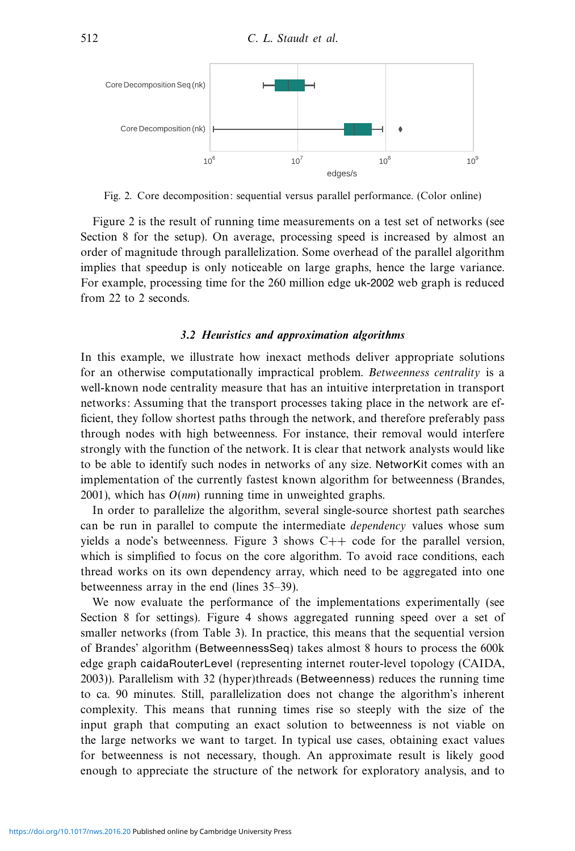

Fig. 2. Core decomposition: sequential versus parallel performance. (Color online)

Figure 2 is the result of running time measurements on a test set of networks (see Section 8 for the setup). On average, processing speed is increased by almost an order of magnitude through parallelization. Some overhead of the parallel algorithm implies that speedup is only noticeable on large graphs, hence the large variance. For example, processing time for the 260 million edge uk-2002 web graph is reduced from 22 to 2 seconds.

# *3.2 Heuristics and approximation algorithms*

In this example, we illustrate how inexact methods deliver appropriate solutions for an otherwise computationally impractical problem. Betweenness centrality is a well-known node centrality measure that has an intuitive interpretation in transport networks: Assuming that the transport processes taking place in the network are efficient, they follow shortest paths through the network, and therefore preferably pass through nodes with high betweenness. For instance, their removal would interfere strongly with the function of the network. It is clear that network analysts would like to be able to identify such nodes in networks of any size. NetworKit comes with an implementation of the currently fastest known algorithm for betweenness (Brandes, 2001), which has  $O(nm)$  running time in unweighted graphs.

In order to parallelize the algorithm, several single-source shortest path searches can be run in parallel to compute the intermediate *dependency* values whose sum yields a node's betweenness. Figure 3 shows  $C++$  code for the parallel version, which is simplified to focus on the core algorithm. To avoid race conditions, each thread works on its own dependency array, which need to be aggregated into one betweenness array in the end (lines 35–39).

We now evaluate the performance of the implementations experimentally (see Section 8 for settings). Figure 4 shows aggregated running speed over a set of smaller networks (from Table 3). In practice, this means that the sequential version of Brandes' algorithm (BetweennessSeq) takes almost 8 hours to process the 600k edge graph caidaRouterLevel (representing internet router-level topology (CAIDA, 2003)). Parallelism with 32 (hyper)threads (Betweenness) reduces the running time to ca. 90 minutes. Still, parallelization does not change the algorithm's inherent complexity. This means that running times rise so steeply with the size of the input graph that computing an exact solution to betweenness is not viable on the large networks we want to target. In typical use cases, obtaining exact values for betweenness is not necessary, though. An approximate result is likely good enough to appreciate the structure of the network for exploratory analysis, and to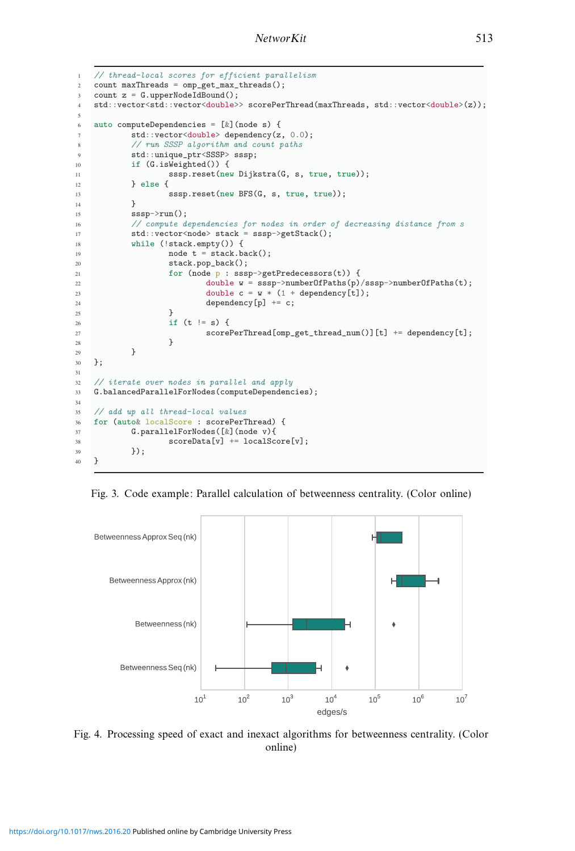```
1 // thread-local scores for efficient parallelism
2 count maxThreads = omp_get_max_threads();
3 count z = G.upperNodeIdBound();
4 std::vector<std::vector<double>> scorePerThread(maxThreads, std::vector<double>(z));
5
6 auto computeDependencies = [&](node s) {
7 std::vector<double> dependency(z, 0.0);
8 // run SSSP algorithm and count paths
9 std::unique_ptr<SSSP> sssp;
10 if (G.isWeighted()) {
11 sssp.reset(new Dijkstra(G, s, true, true));
12 } else {
13 sssp.reset(new BFS(G, s, true, true));<br>
\downarrow14 }
15 sssp->run();
16 // compute dependencies for nodes in order of decreasing distance from s
17 std::vector<node> stack = sssp->getStack();
18 while (!stack.empty()) {
19 node t = stack.\text{back}();
20 stack.pop_back();
21 for (node p : sssp->getPredecessors(t)) {
22 double w = s s s p->numberOfPaths(p)/sssp->numberOfPaths(t);
\text{double } c = w * (1 + \text{dependentcy[t]});24 dependency [p] += c;<br>25 }
25 }
26 if (t = s) {
27 scorePerThread[omp_get_thread_num()][t] + dependency[t];<br>28
28 }
29 }
30 };
31
32 // iterate over nodes in parallel and apply
33 G.balancedParallelForNodes(computeDependencies);
34
35 // add up all thread-local values
36 for (auto& localScore : scorePerThread) {
37 G.parallelForNodes([&](node v){
38 scoreData[v] += localScore[v];
39 });
40 }
```
Fig. 3. Code example: Parallel calculation of betweenness centrality. (Color online)



Fig. 4. Processing speed of exact and inexact algorithms for betweenness centrality. (Color online)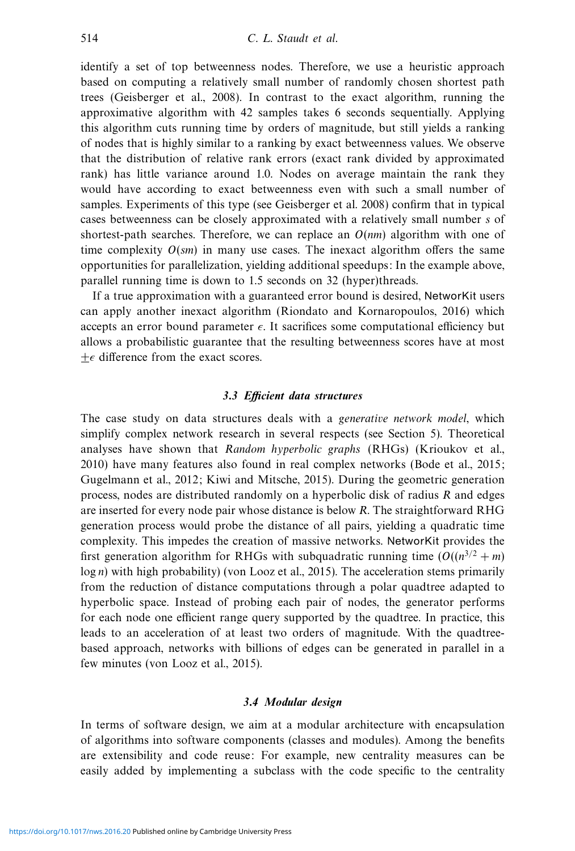identify a set of top betweenness nodes. Therefore, we use a heuristic approach based on computing a relatively small number of randomly chosen shortest path trees (Geisberger et al., 2008). In contrast to the exact algorithm, running the approximative algorithm with 42 samples takes 6 seconds sequentially. Applying this algorithm cuts running time by orders of magnitude, but still yields a ranking of nodes that is highly similar to a ranking by exact betweenness values. We observe that the distribution of relative rank errors (exact rank divided by approximated rank) has little variance around 1.0. Nodes on average maintain the rank they would have according to exact betweenness even with such a small number of samples. Experiments of this type (see Geisberger et al. 2008) confirm that in typical cases betweenness can be closely approximated with a relatively small number s of shortest-path searches. Therefore, we can replace an  $O(nm)$  algorithm with one of time complexity  $O(sm)$  in many use cases. The inexact algorithm offers the same opportunities for parallelization, yielding additional speedups: In the example above, parallel running time is down to 1.5 seconds on 32 (hyper)threads.

If a true approximation with a guaranteed error bound is desired, NetworKit users can apply another inexact algorithm (Riondato and Kornaropoulos, 2016) which accepts an error bound parameter  $\epsilon$ . It sacrifices some computational efficiency but allows a probabilistic guarantee that the resulting betweenness scores have at most  $\pm \epsilon$  difference from the exact scores.

# *3.3 Efficient data structures*

The case study on data structures deals with a *generative network model*, which simplify complex network research in several respects (see Section 5). Theoretical analyses have shown that Random hyperbolic graphs (RHGs) (Krioukov et al., 2010) have many features also found in real complex networks (Bode et al., 2015; Gugelmann et al., 2012; Kiwi and Mitsche, 2015). During the geometric generation process, nodes are distributed randomly on a hyperbolic disk of radius R and edges are inserted for every node pair whose distance is below R. The straightforward RHG generation process would probe the distance of all pairs, yielding a quadratic time complexity. This impedes the creation of massive networks. NetworKit provides the first generation algorithm for RHGs with subquadratic running time  $(O((n^{3/2} + m))$  $log n$ ) with high probability) (von Looz et al., 2015). The acceleration stems primarily from the reduction of distance computations through a polar quadtree adapted to hyperbolic space. Instead of probing each pair of nodes, the generator performs for each node one efficient range query supported by the quadtree. In practice, this leads to an acceleration of at least two orders of magnitude. With the quadtreebased approach, networks with billions of edges can be generated in parallel in a few minutes (von Looz et al., 2015).

# *3.4 Modular design*

In terms of software design, we aim at a modular architecture with encapsulation of algorithms into software components (classes and modules). Among the benefits are extensibility and code reuse: For example, new centrality measures can be easily added by implementing a subclass with the code specific to the centrality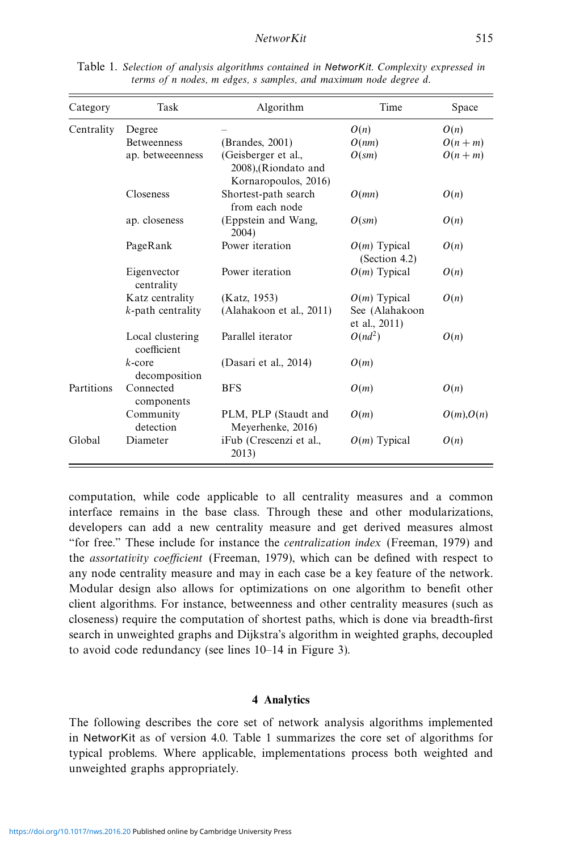| Category   | Task                            | Algorithm                                                           | Time                            | Space           |
|------------|---------------------------------|---------------------------------------------------------------------|---------------------------------|-----------------|
| Centrality | Degree                          |                                                                     | O(n)                            | O(n)            |
|            | <b>Betweenness</b>              | (Brandes, 2001)                                                     | O(nm)                           | $O(n+m)$        |
|            | ap. betweeenness                | (Geisberger et al.,<br>2008), (Riondato and<br>Kornaropoulos, 2016) | $O(s_m)$                        | $O(n+m)$        |
|            | <b>Closeness</b>                | Shortest-path search<br>from each node                              | O(mn)                           | O(n)            |
|            | ap. closeness                   | (Eppstein and Wang,<br>2004)                                        | $O(s_m)$                        | O(n)            |
|            | PageRank                        | Power iteration                                                     | $O(m)$ Typical<br>(Section 4.2) | O(n)            |
|            | Eigenvector<br>centrality       | Power iteration                                                     | $O(m)$ Typical                  | O(n)            |
|            | Katz centrality                 | (Katz, 1953)                                                        | $O(m)$ Typical                  | O(n)            |
|            | $k$ -path centrality            | (Alahakoon et al., 2011)                                            | See (Alahakoon<br>et al., 2011) |                 |
|            | Local clustering<br>coefficient | Parallel iterator                                                   | $O(nd^2)$                       | O(n)            |
|            | $k$ -core<br>decomposition      | (Dasari et al., 2014)                                               | O(m)                            |                 |
| Partitions | Connected<br>components         | <b>BFS</b>                                                          | O(m)                            | O(n)            |
|            | Community<br>detection          | PLM, PLP (Staudt and<br>Meyerhenke, 2016)                           | O(m)                            | $O(m)$ , $O(n)$ |
| Global     | Diameter                        | iFub (Crescenzi et al.,<br>2013)                                    | $O(m)$ Typical                  | O(n)            |

Table 1. Selection of analysis algorithms contained in *NetworKit*. Complexity expressed in terms of n nodes, m edges, s samples, and maximum node degree d.

computation, while code applicable to all centrality measures and a common interface remains in the base class. Through these and other modularizations, developers can add a new centrality measure and get derived measures almost "for free." These include for instance the centralization index (Freeman, 1979) and the assortativity coefficient (Freeman, 1979), which can be defined with respect to any node centrality measure and may in each case be a key feature of the network. Modular design also allows for optimizations on one algorithm to benefit other client algorithms. For instance, betweenness and other centrality measures (such as closeness) require the computation of shortest paths, which is done via breadth-first search in unweighted graphs and Dijkstra's algorithm in weighted graphs, decoupled to avoid code redundancy (see lines 10–14 in Figure 3).

## **4 Analytics**

The following describes the core set of network analysis algorithms implemented in NetworKit as of version 4.0. Table 1 summarizes the core set of algorithms for typical problems. Where applicable, implementations process both weighted and unweighted graphs appropriately.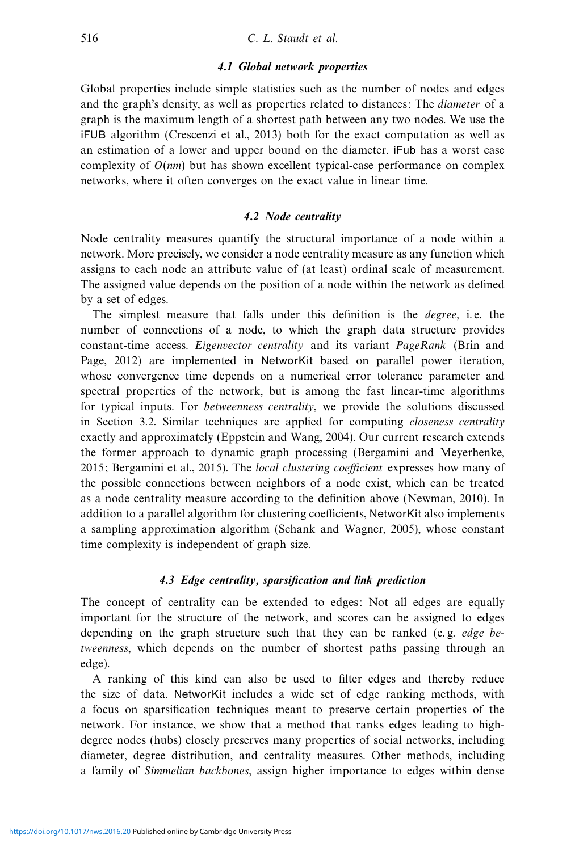## *4.1 Global network properties*

Global properties include simple statistics such as the number of nodes and edges and the graph's density, as well as properties related to distances: The *diameter* of a graph is the maximum length of a shortest path between any two nodes. We use the iFUB algorithm (Crescenzi et al., 2013) both for the exact computation as well as an estimation of a lower and upper bound on the diameter. iFub has a worst case complexity of  $O(nm)$  but has shown excellent typical-case performance on complex networks, where it often converges on the exact value in linear time.

## *4.2 Node centrality*

Node centrality measures quantify the structural importance of a node within a network. More precisely, we consider a node centrality measure as any function which assigns to each node an attribute value of (at least) ordinal scale of measurement. The assigned value depends on the position of a node within the network as defined by a set of edges.

The simplest measure that falls under this definition is the *degree*, i.e. the number of connections of a node, to which the graph data structure provides constant-time access. Eigenvector centrality and its variant PageRank (Brin and Page, 2012) are implemented in NetworKit based on parallel power iteration, whose convergence time depends on a numerical error tolerance parameter and spectral properties of the network, but is among the fast linear-time algorithms for typical inputs. For betweenness centrality, we provide the solutions discussed in Section 3.2. Similar techniques are applied for computing closeness centrality exactly and approximately (Eppstein and Wang, 2004). Our current research extends the former approach to dynamic graph processing (Bergamini and Meyerhenke, 2015; Bergamini et al., 2015). The local clustering coefficient expresses how many of the possible connections between neighbors of a node exist, which can be treated as a node centrality measure according to the definition above (Newman, 2010). In addition to a parallel algorithm for clustering coefficients, NetworKit also implements a sampling approximation algorithm (Schank and Wagner, 2005), whose constant time complexity is independent of graph size.

# *4.3 Edge centrality, sparsification and link prediction*

The concept of centrality can be extended to edges: Not all edges are equally important for the structure of the network, and scores can be assigned to edges depending on the graph structure such that they can be ranked (e.g. *edge be*tweenness, which depends on the number of shortest paths passing through an edge).

A ranking of this kind can also be used to filter edges and thereby reduce the size of data. NetworKit includes a wide set of edge ranking methods, with a focus on sparsification techniques meant to preserve certain properties of the network. For instance, we show that a method that ranks edges leading to highdegree nodes (hubs) closely preserves many properties of social networks, including diameter, degree distribution, and centrality measures. Other methods, including a family of Simmelian backbones, assign higher importance to edges within dense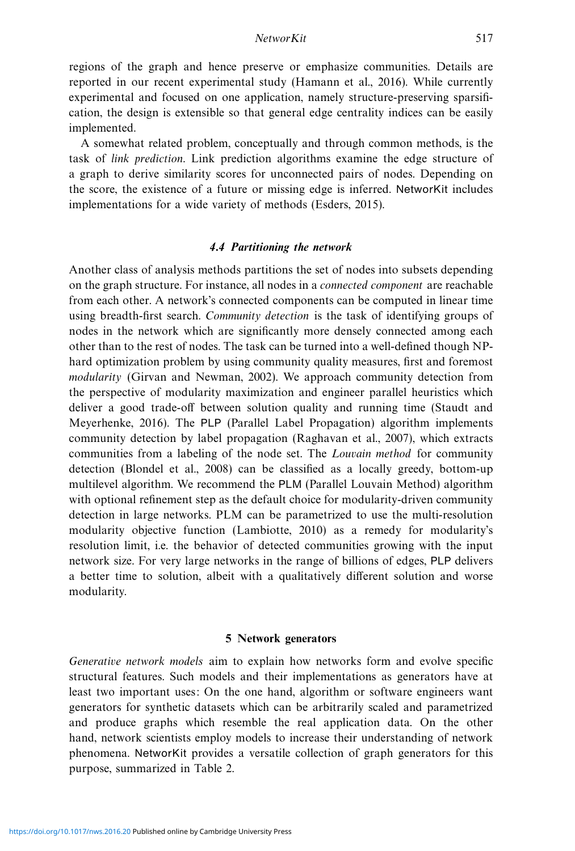regions of the graph and hence preserve or emphasize communities. Details are reported in our recent experimental study (Hamann et al., 2016). While currently experimental and focused on one application, namely structure-preserving sparsification, the design is extensible so that general edge centrality indices can be easily implemented.

A somewhat related problem, conceptually and through common methods, is the task of link prediction. Link prediction algorithms examine the edge structure of a graph to derive similarity scores for unconnected pairs of nodes. Depending on the score, the existence of a future or missing edge is inferred. NetworKit includes implementations for a wide variety of methods (Esders, 2015).

# *4.4 Partitioning the network*

Another class of analysis methods partitions the set of nodes into subsets depending on the graph structure. For instance, all nodes in a connected component are reachable from each other. A network's connected components can be computed in linear time using breadth-first search. Community detection is the task of identifying groups of nodes in the network which are significantly more densely connected among each other than to the rest of nodes. The task can be turned into a well-defined though NPhard optimization problem by using community quality measures, first and foremost modularity (Girvan and Newman, 2002). We approach community detection from the perspective of modularity maximization and engineer parallel heuristics which deliver a good trade-off between solution quality and running time (Staudt and Meyerhenke, 2016). The PLP (Parallel Label Propagation) algorithm implements community detection by label propagation (Raghavan et al., 2007), which extracts communities from a labeling of the node set. The *Louvain method* for community detection (Blondel et al., 2008) can be classified as a locally greedy, bottom-up multilevel algorithm. We recommend the PLM (Parallel Louvain Method) algorithm with optional refinement step as the default choice for modularity-driven community detection in large networks. PLM can be parametrized to use the multi-resolution modularity objective function (Lambiotte, 2010) as a remedy for modularity's resolution limit, i.e. the behavior of detected communities growing with the input network size. For very large networks in the range of billions of edges, PLP delivers a better time to solution, albeit with a qualitatively different solution and worse modularity.

## **5 Network generators**

Generative network models aim to explain how networks form and evolve specific structural features. Such models and their implementations as generators have at least two important uses: On the one hand, algorithm or software engineers want generators for synthetic datasets which can be arbitrarily scaled and parametrized and produce graphs which resemble the real application data. On the other hand, network scientists employ models to increase their understanding of network phenomena. NetworKit provides a versatile collection of graph generators for this purpose, summarized in Table 2.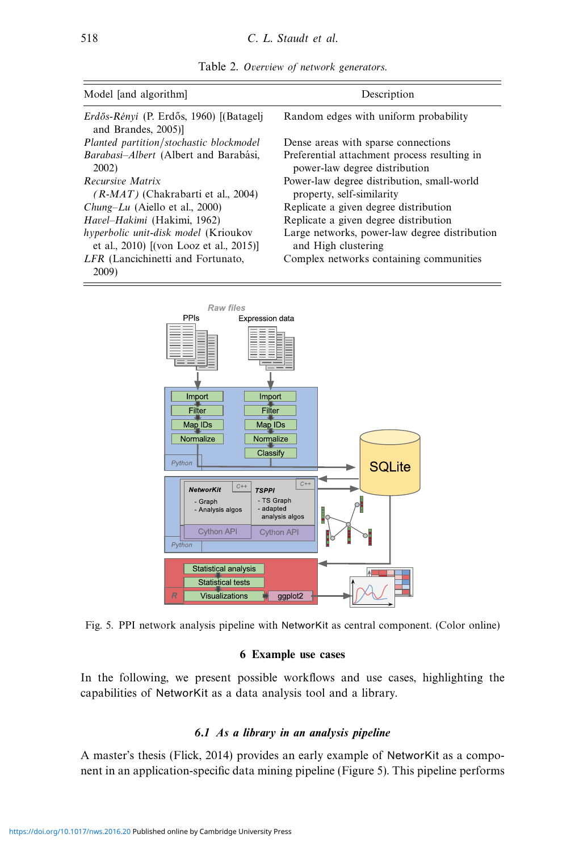| Model [and algorithm]                                                           | Description                                                                   |  |  |
|---------------------------------------------------------------------------------|-------------------------------------------------------------------------------|--|--|
| <i>Erdős-Rényi</i> (P. Erdős, 1960) [(Batagelj<br>and Brandes, 2005)]           | Random edges with uniform probability                                         |  |  |
| Planted partition/stochastic blockmodel                                         | Dense areas with sparse connections                                           |  |  |
| Barabasi-Albert (Albert and Barabási,<br>2002)                                  | Preferential attachment process resulting in<br>power-law degree distribution |  |  |
| Recursive Matrix<br>$(R-MAT)$ (Chakrabarti et al., 2004)                        | Power-law degree distribution, small-world<br>property, self-similarity       |  |  |
| <i>Chung–Lu</i> (Aiello et al., 2000)                                           | Replicate a given degree distribution                                         |  |  |
| Havel-Hakimi (Hakimi, 1962)                                                     | Replicate a given degree distribution                                         |  |  |
| hyperbolic unit-disk model (Krioukov<br>et al., 2010) [(von Looz et al., 2015)] | Large networks, power-law degree distribution<br>and High clustering          |  |  |
| LFR (Lancichinetti and Fortunato,<br>2009)                                      | Complex networks containing communities                                       |  |  |





Fig. 5. PPI network analysis pipeline with NetworKit as central component. (Color online)

# **6 Example use cases**

In the following, we present possible workflows and use cases, highlighting the capabilities of NetworKit as a data analysis tool and a library.

# *6.1 As a library in an analysis pipeline*

A master's thesis (Flick, 2014) provides an early example of NetworKit as a component in an application-specific data mining pipeline (Figure 5). This pipeline performs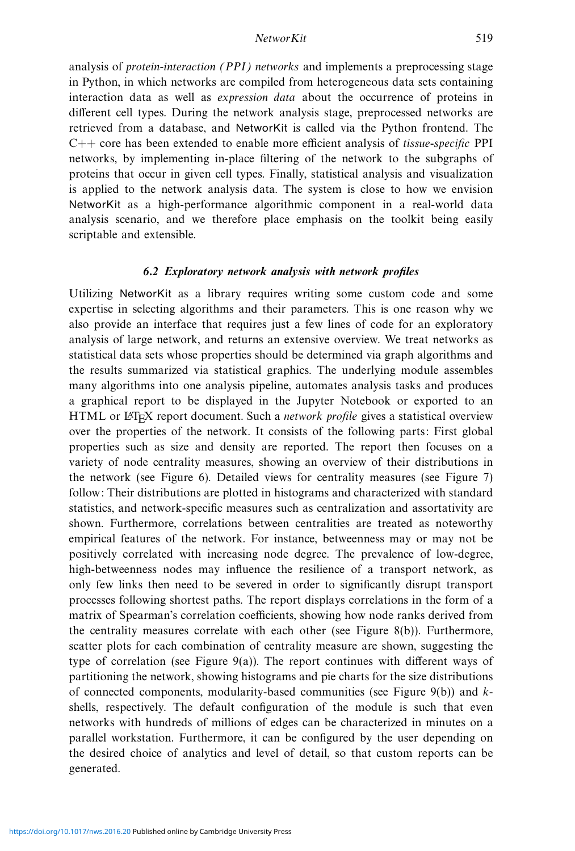analysis of *protein-interaction (PPI) networks* and implements a preprocessing stage in Python, in which networks are compiled from heterogeneous data sets containing interaction data as well as expression data about the occurrence of proteins in different cell types. During the network analysis stage, preprocessed networks are retrieved from a database, and NetworKit is called via the Python frontend. The C++ core has been extended to enable more efficient analysis of tissue-specific PPI networks, by implementing in-place filtering of the network to the subgraphs of proteins that occur in given cell types. Finally, statistical analysis and visualization is applied to the network analysis data. The system is close to how we envision NetworKit as a high-performance algorithmic component in a real-world data analysis scenario, and we therefore place emphasis on the toolkit being easily scriptable and extensible.

# *6.2 Exploratory network analysis with network profiles*

Utilizing NetworKit as a library requires writing some custom code and some expertise in selecting algorithms and their parameters. This is one reason why we also provide an interface that requires just a few lines of code for an exploratory analysis of large network, and returns an extensive overview. We treat networks as statistical data sets whose properties should be determined via graph algorithms and the results summarized via statistical graphics. The underlying module assembles many algorithms into one analysis pipeline, automates analysis tasks and produces a graphical report to be displayed in the Jupyter Notebook or exported to an HTML or LATEX report document. Such a *network profile* gives a statistical overview over the properties of the network. It consists of the following parts: First global properties such as size and density are reported. The report then focuses on a variety of node centrality measures, showing an overview of their distributions in the network (see Figure 6). Detailed views for centrality measures (see Figure 7) follow: Their distributions are plotted in histograms and characterized with standard statistics, and network-specific measures such as centralization and assortativity are shown. Furthermore, correlations between centralities are treated as noteworthy empirical features of the network. For instance, betweenness may or may not be positively correlated with increasing node degree. The prevalence of low-degree, high-betweenness nodes may influence the resilience of a transport network, as only few links then need to be severed in order to significantly disrupt transport processes following shortest paths. The report displays correlations in the form of a matrix of Spearman's correlation coefficients, showing how node ranks derived from the centrality measures correlate with each other (see Figure 8(b)). Furthermore, scatter plots for each combination of centrality measure are shown, suggesting the type of correlation (see Figure 9(a)). The report continues with different ways of partitioning the network, showing histograms and pie charts for the size distributions of connected components, modularity-based communities (see Figure 9(b)) and kshells, respectively. The default configuration of the module is such that even networks with hundreds of millions of edges can be characterized in minutes on a parallel workstation. Furthermore, it can be configured by the user depending on the desired choice of analytics and level of detail, so that custom reports can be generated.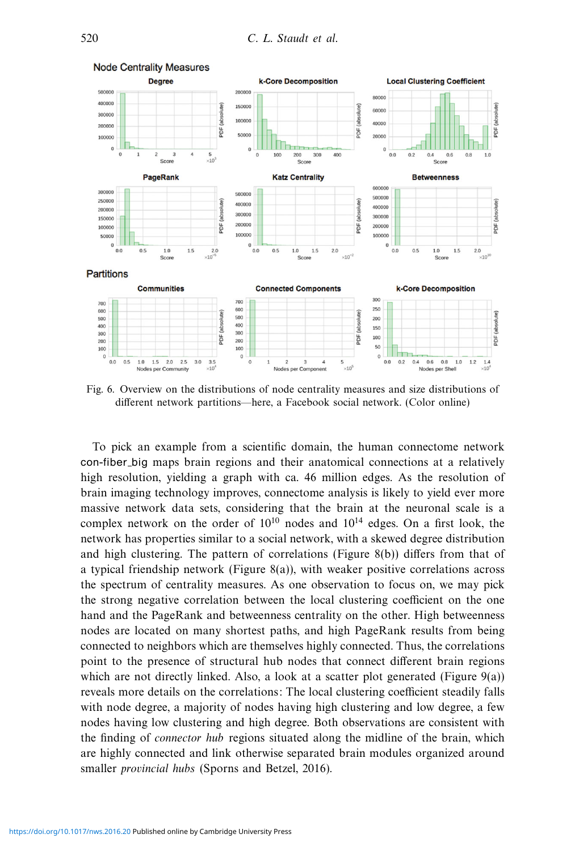

Fig. 6. Overview on the distributions of node centrality measures and size distributions of different network partitions—here, a Facebook social network. (Color online)

To pick an example from a scientific domain, the human connectome network con-fiber big maps brain regions and their anatomical connections at a relatively high resolution, yielding a graph with ca. 46 million edges. As the resolution of brain imaging technology improves, connectome analysis is likely to yield ever more massive network data sets, considering that the brain at the neuronal scale is a complex network on the order of  $10^{10}$  nodes and  $10^{14}$  edges. On a first look, the network has properties similar to a social network, with a skewed degree distribution and high clustering. The pattern of correlations (Figure 8(b)) differs from that of a typical friendship network (Figure 8(a)), with weaker positive correlations across the spectrum of centrality measures. As one observation to focus on, we may pick the strong negative correlation between the local clustering coefficient on the one hand and the PageRank and betweenness centrality on the other. High betweenness nodes are located on many shortest paths, and high PageRank results from being connected to neighbors which are themselves highly connected. Thus, the correlations point to the presence of structural hub nodes that connect different brain regions which are not directly linked. Also, a look at a scatter plot generated (Figure  $9(a)$ ) reveals more details on the correlations: The local clustering coefficient steadily falls with node degree, a majority of nodes having high clustering and low degree, a few nodes having low clustering and high degree. Both observations are consistent with the finding of connector hub regions situated along the midline of the brain, which are highly connected and link otherwise separated brain modules organized around smaller provincial hubs (Sporns and Betzel, 2016).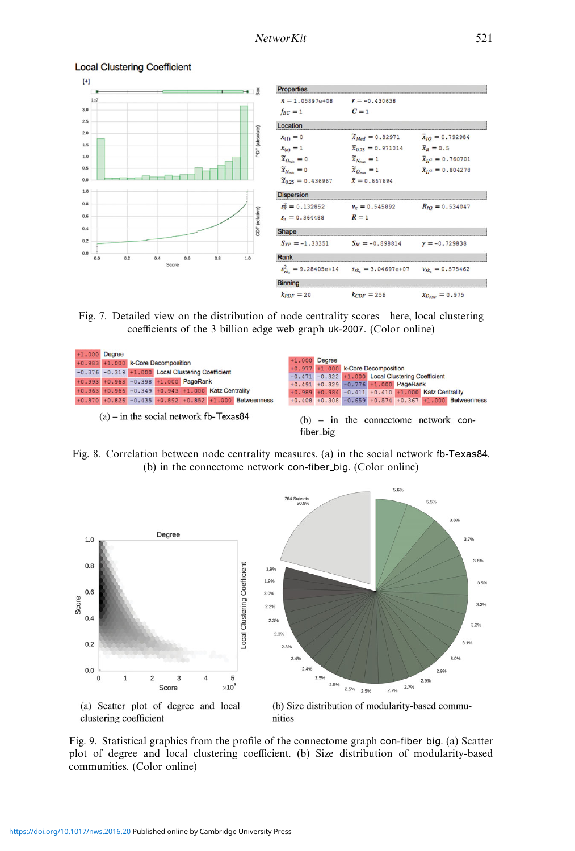

#### **Local Clustering Coefficient**

Fig. 7. Detailed view on the distribution of node centrality scores—here, local clustering coefficients of the 3 billion edge web graph uk-2007. (Color online)



Fig. 8. Correlation between node centrality measures. (a) in the social network fb-Texas84. (b) in the connectome network con-fiber big. (Color online)



Fig. 9. Statistical graphics from the profile of the connectome graph con-fiber big. (a) Scatter plot of degree and local clustering coefficient. (b) Size distribution of modularity-based communities. (Color online)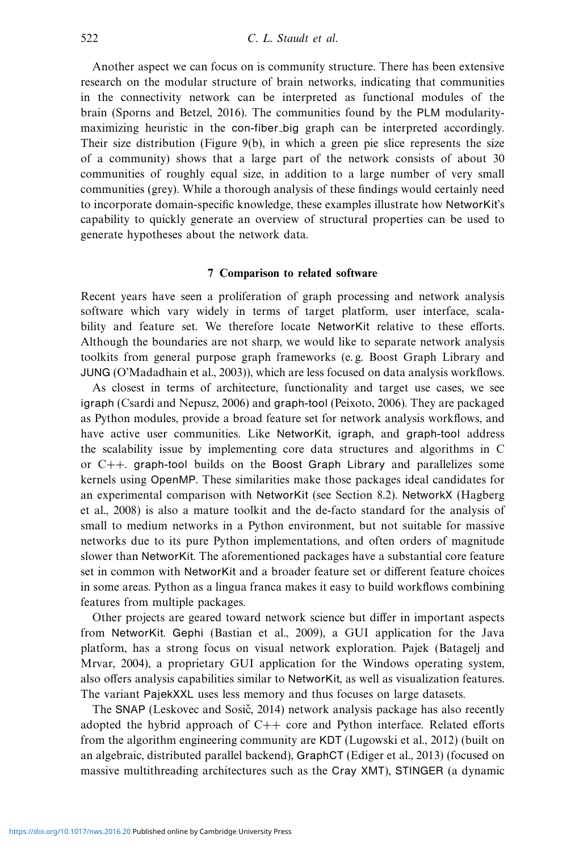Another aspect we can focus on is community structure. There has been extensive research on the modular structure of brain networks, indicating that communities in the connectivity network can be interpreted as functional modules of the brain (Sporns and Betzel, 2016). The communities found by the PLM modularitymaximizing heuristic in the con-fiber big graph can be interpreted accordingly. Their size distribution (Figure 9(b), in which a green pie slice represents the size of a community) shows that a large part of the network consists of about 30 communities of roughly equal size, in addition to a large number of very small communities (grey). While a thorough analysis of these findings would certainly need to incorporate domain-specific knowledge, these examples illustrate how NetworKit's capability to quickly generate an overview of structural properties can be used to generate hypotheses about the network data.

# **7 Comparison to related software**

Recent years have seen a proliferation of graph processing and network analysis software which vary widely in terms of target platform, user interface, scalability and feature set. We therefore locate NetworKit relative to these efforts. Although the boundaries are not sharp, we would like to separate network analysis toolkits from general purpose graph frameworks (e. g. Boost Graph Library and JUNG (O'Madadhain et al., 2003)), which are less focused on data analysis workflows.

As closest in terms of architecture, functionality and target use cases, we see igraph (Csardi and Nepusz, 2006) and graph-tool (Peixoto, 2006). They are packaged as Python modules, provide a broad feature set for network analysis workflows, and have active user communities. Like NetworKit, igraph, and graph-tool address the scalability issue by implementing core data structures and algorithms in C or  $C_{++}$ . graph-tool builds on the Boost Graph Library and parallelizes some kernels using OpenMP. These similarities make those packages ideal candidates for an experimental comparison with NetworKit (see Section 8.2). NetworkX (Hagberg et al., 2008) is also a mature toolkit and the de-facto standard for the analysis of small to medium networks in a Python environment, but not suitable for massive networks due to its pure Python implementations, and often orders of magnitude slower than NetworKit. The aforementioned packages have a substantial core feature set in common with NetworKit and a broader feature set or different feature choices in some areas. Python as a lingua franca makes it easy to build workflows combining features from multiple packages.

Other projects are geared toward network science but differ in important aspects from NetworKit. Gephi (Bastian et al., 2009), a GUI application for the Java platform, has a strong focus on visual network exploration. Pajek (Batagelj and Mrvar, 2004), a proprietary GUI application for the Windows operating system, also offers analysis capabilities similar to NetworKit, as well as visualization features. The variant PajekXXL uses less memory and thus focuses on large datasets.

The SNAP (Leskovec and Sosič, 2014) network analysis package has also recently adopted the hybrid approach of  $C++$  core and Python interface. Related efforts from the algorithm engineering community are KDT (Lugowski et al., 2012) (built on an algebraic, distributed parallel backend), GraphCT (Ediger et al., 2013) (focused on massive multithreading architectures such as the Cray XMT), STINGER (a dynamic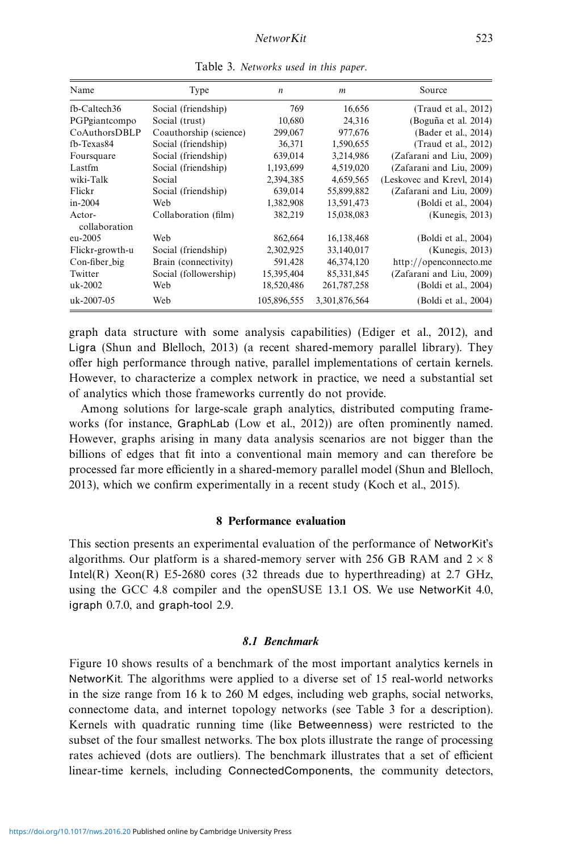| Name                    | Type                   | $\boldsymbol{n}$ | $\boldsymbol{m}$ | Source                     |
|-------------------------|------------------------|------------------|------------------|----------------------------|
| fb-Caltech36            | Social (friendship)    | 769              | 16,656           | (Traud et al., 2012)       |
| PGPgiantcompo           | Social (trust)         | 10,680           | 24,316           | (Boguña et al. 2014)       |
| CoAuthorsDBLP           | Coauthorship (science) | 299,067          | 977,676          | (Bader et al., 2014)       |
| fb-Texas84              | Social (friendship)    | 36,371           | 1,590,655        | (Traud et al., 2012)       |
| Foursquare              | Social (friendship)    | 639,014          | 3,214,986        | (Zafarani and Liu, 2009)   |
| Lastfm                  | Social (friendship)    | 1,193,699        | 4,519,020        | (Zafarani and Liu, 2009)   |
| wiki-Talk               | Social                 | 2,394,385        | 4,659,565        | (Leskovec and Krevl, 2014) |
| Flickr                  | Social (friendship)    | 639,014          | 55,899,882       | (Zafarani and Liu, 2009)   |
| $in-2004$               | Web                    | 1,382,908        | 13,591,473       | (Boldi et al., 2004)       |
| Actor-<br>collaboration | Collaboration (film)   | 382,219          | 15,038,083       | (Kunegis, 2013)            |
| eu-2005                 | Web                    | 862,664          | 16,138,468       | (Boldi et al., 2004)       |
| Flickr-growth-u         | Social (friendship)    | 2,302,925        | 33,140,017       | (Kunegis, 2013)            |
| Con-fiber_big           | Brain (connectivity)   | 591,428          | 46,374,120       | http://openconnecto.me     |
| Twitter                 | Social (followership)  | 15,395,404       | 85, 331, 845     | (Zafarani and Liu, 2009)   |
| uk-2002                 | Web                    | 18,520,486       | 261,787,258      | (Boldi et al., 2004)       |
| uk-2007-05              | Web                    | 105,896,555      | 3,301,876,564    | (Boldi et al., 2004)       |

Table 3. Networks used in this paper.

graph data structure with some analysis capabilities) (Ediger et al., 2012), and Ligra (Shun and Blelloch, 2013) (a recent shared-memory parallel library). They offer high performance through native, parallel implementations of certain kernels. However, to characterize a complex network in practice, we need a substantial set of analytics which those frameworks currently do not provide.

Among solutions for large-scale graph analytics, distributed computing frameworks (for instance, GraphLab (Low et al., 2012)) are often prominently named. However, graphs arising in many data analysis scenarios are not bigger than the billions of edges that fit into a conventional main memory and can therefore be processed far more efficiently in a shared-memory parallel model (Shun and Blelloch, 2013), which we confirm experimentally in a recent study (Koch et al., 2015).

# **8 Performance evaluation**

This section presents an experimental evaluation of the performance of NetworKit's algorithms. Our platform is a shared-memory server with 256 GB RAM and  $2 \times 8$ Intel(R) Xeon(R) E5-2680 cores (32 threads due to hyperthreading) at 2.7 GHz, using the GCC 4.8 compiler and the openSUSE 13.1 OS. We use NetworKit 4.0, igraph 0.7.0, and graph-tool 2.9.

## *8.1 Benchmark*

Figure 10 shows results of a benchmark of the most important analytics kernels in NetworKit. The algorithms were applied to a diverse set of 15 real-world networks in the size range from 16 k to 260 M edges, including web graphs, social networks, connectome data, and internet topology networks (see Table 3 for a description). Kernels with quadratic running time (like Betweenness) were restricted to the subset of the four smallest networks. The box plots illustrate the range of processing rates achieved (dots are outliers). The benchmark illustrates that a set of efficient linear-time kernels, including ConnectedComponents, the community detectors,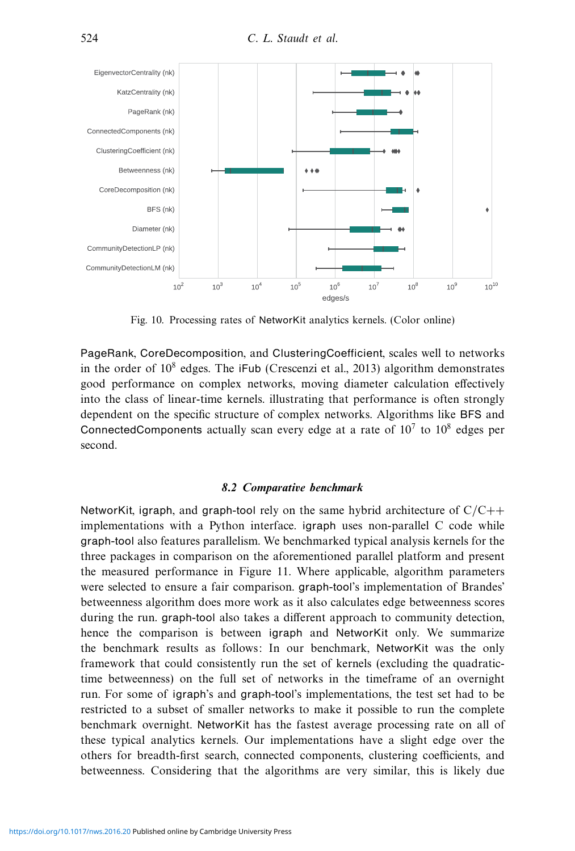

Fig. 10. Processing rates of NetworKit analytics kernels. (Color online)

PageRank, CoreDecomposition, and ClusteringCoefficient, scales well to networks in the order of 10<sup>8</sup> edges. The iFub (Crescenzi et al., 2013) algorithm demonstrates good performance on complex networks, moving diameter calculation effectively into the class of linear-time kernels. illustrating that performance is often strongly dependent on the specific structure of complex networks. Algorithms like BFS and ConnectedComponents actually scan every edge at a rate of  $10<sup>7</sup>$  to  $10<sup>8</sup>$  edges per second.

# *8.2 Comparative benchmark*

NetworKit, igraph, and graph-tool rely on the same hybrid architecture of  $C/C++$ implementations with a Python interface. igraph uses non-parallel C code while graph-tool also features parallelism. We benchmarked typical analysis kernels for the three packages in comparison on the aforementioned parallel platform and present the measured performance in Figure 11. Where applicable, algorithm parameters were selected to ensure a fair comparison. graph-tool's implementation of Brandes' betweenness algorithm does more work as it also calculates edge betweenness scores during the run. graph-tool also takes a different approach to community detection, hence the comparison is between igraph and NetworKit only. We summarize the benchmark results as follows: In our benchmark, NetworKit was the only framework that could consistently run the set of kernels (excluding the quadratictime betweenness) on the full set of networks in the timeframe of an overnight run. For some of igraph's and graph-tool's implementations, the test set had to be restricted to a subset of smaller networks to make it possible to run the complete benchmark overnight. NetworKit has the fastest average processing rate on all of these typical analytics kernels. Our implementations have a slight edge over the others for breadth-first search, connected components, clustering coefficients, and betweenness. Considering that the algorithms are very similar, this is likely due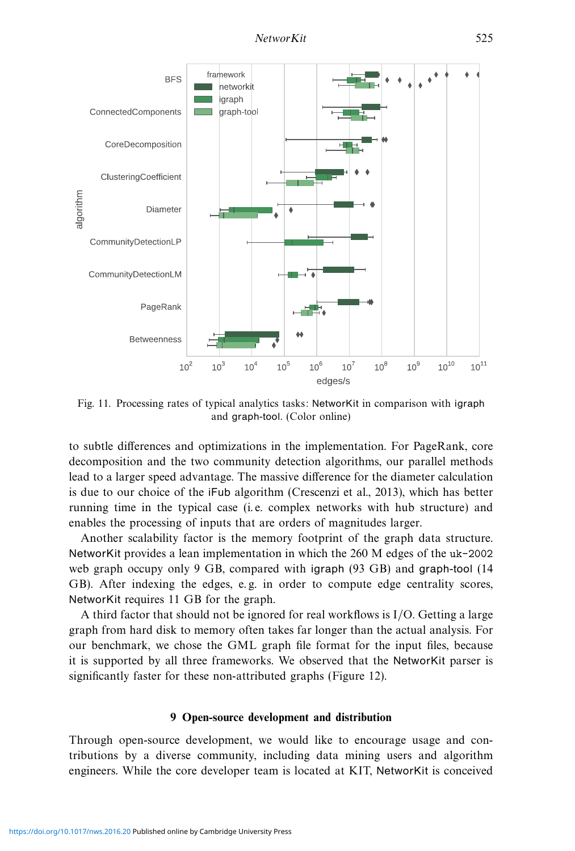

Fig. 11. Processing rates of typical analytics tasks: NetworKit in comparison with igraph and graph-tool. (Color online)

to subtle differences and optimizations in the implementation. For PageRank, core decomposition and the two community detection algorithms, our parallel methods lead to a larger speed advantage. The massive difference for the diameter calculation is due to our choice of the iFub algorithm (Crescenzi et al., 2013), which has better running time in the typical case (i. e. complex networks with hub structure) and enables the processing of inputs that are orders of magnitudes larger.

Another scalability factor is the memory footprint of the graph data structure. NetworKit provides a lean implementation in which the 260 M edges of the uk-2002 web graph occupy only 9 GB, compared with igraph (93 GB) and graph-tool (14 GB). After indexing the edges, e.g. in order to compute edge centrality scores, NetworKit requires 11 GB for the graph.

A third factor that should not be ignored for real workflows is I/O. Getting a large graph from hard disk to memory often takes far longer than the actual analysis. For our benchmark, we chose the GML graph file format for the input files, because it is supported by all three frameworks. We observed that the NetworKit parser is significantly faster for these non-attributed graphs (Figure 12).

# **9 Open-source development and distribution**

Through open-source development, we would like to encourage usage and contributions by a diverse community, including data mining users and algorithm engineers. While the core developer team is located at KIT, NetworKit is conceived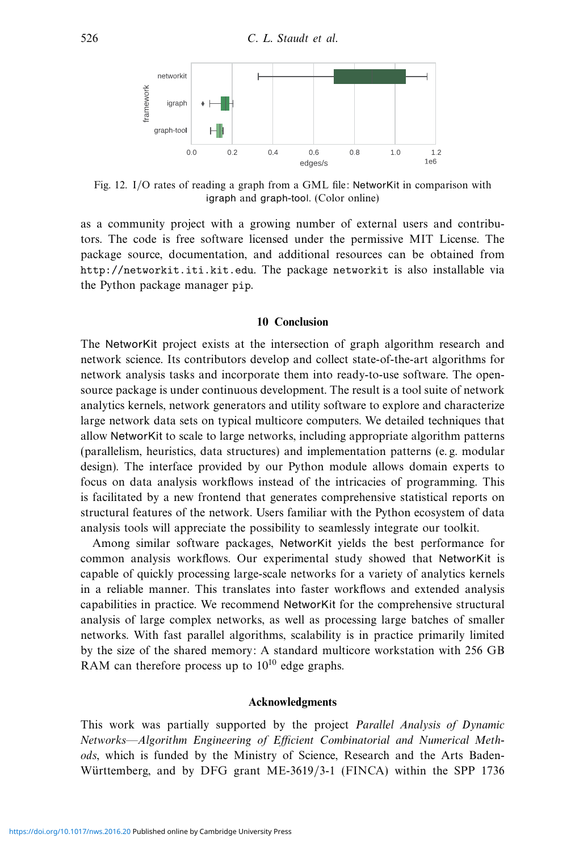

Fig. 12. I/O rates of reading a graph from a GML file: NetworKit in comparison with igraph and graph-tool. (Color online)

as a community project with a growing number of external users and contributors. The code is free software licensed under the permissive MIT License. The package source, documentation, and additional resources can be obtained from http://networkit.iti.kit.edu. The package networkit is also installable via the Python package manager pip.

## **10 Conclusion**

The NetworKit project exists at the intersection of graph algorithm research and network science. Its contributors develop and collect state-of-the-art algorithms for network analysis tasks and incorporate them into ready-to-use software. The opensource package is under continuous development. The result is a tool suite of network analytics kernels, network generators and utility software to explore and characterize large network data sets on typical multicore computers. We detailed techniques that allow NetworKit to scale to large networks, including appropriate algorithm patterns (parallelism, heuristics, data structures) and implementation patterns (e. g. modular design). The interface provided by our Python module allows domain experts to focus on data analysis workflows instead of the intricacies of programming. This is facilitated by a new frontend that generates comprehensive statistical reports on structural features of the network. Users familiar with the Python ecosystem of data analysis tools will appreciate the possibility to seamlessly integrate our toolkit.

Among similar software packages, NetworKit yields the best performance for common analysis workflows. Our experimental study showed that NetworKit is capable of quickly processing large-scale networks for a variety of analytics kernels in a reliable manner. This translates into faster workflows and extended analysis capabilities in practice. We recommend NetworKit for the comprehensive structural analysis of large complex networks, as well as processing large batches of smaller networks. With fast parallel algorithms, scalability is in practice primarily limited by the size of the shared memory: A standard multicore workstation with 256 GB RAM can therefore process up to  $10^{10}$  edge graphs.

#### **Acknowledgments**

This work was partially supported by the project Parallel Analysis of Dynamic Networks—Algorithm Engineering of Efficient Combinatorial and Numerical Methods, which is funded by the Ministry of Science, Research and the Arts Baden-Württemberg, and by DFG grant ME-3619/3-1 (FINCA) within the SPP 1736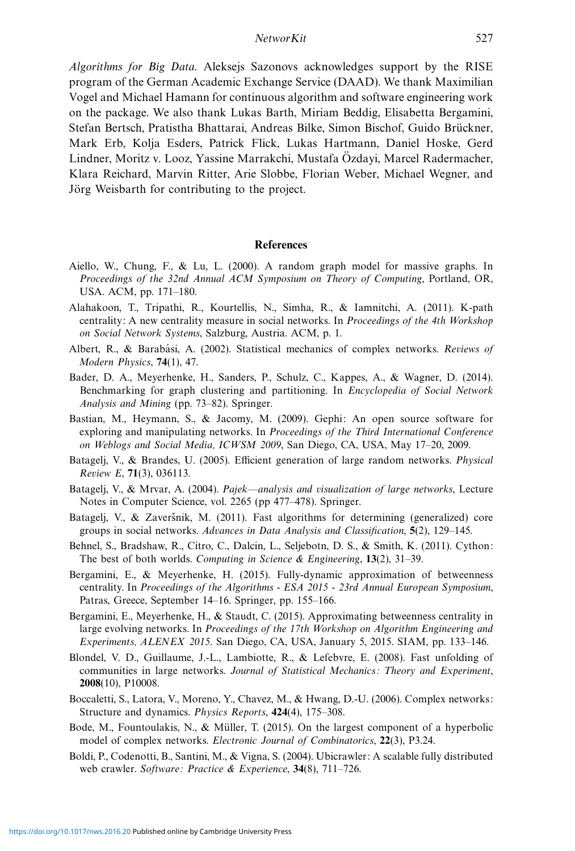Algorithms for Big Data. Aleksejs Sazonovs acknowledges support by the RISE program of the German Academic Exchange Service (DAAD). We thank Maximilian Vogel and Michael Hamann for continuous algorithm and software engineering work on the package. We also thank Lukas Barth, Miriam Beddig, Elisabetta Bergamini, Stefan Bertsch, Pratistha Bhattarai, Andreas Bilke, Simon Bischof, Guido Bruckner, ¨ Mark Erb, Kolja Esders, Patrick Flick, Lukas Hartmann, Daniel Hoske, Gerd Lindner, Moritz v. Looz, Yassine Marrakchi, Mustafa Ozdayi, Marcel Radermacher, ¨ Klara Reichard, Marvin Ritter, Arie Slobbe, Florian Weber, Michael Wegner, and Jörg Weisbarth for contributing to the project.

# **References**

- Aiello, W., Chung, F., & Lu, L. (2000). A random graph model for massive graphs. In Proceedings of the 32nd Annual ACM Symposium on Theory of Computing, Portland, OR, USA. ACM, pp. 171–180.
- Alahakoon, T., Tripathi, R., Kourtellis, N., Simha, R., & Iamnitchi, A. (2011). K-path centrality: A new centrality measure in social networks. In Proceedings of the 4th Workshop on Social Network Systems, Salzburg, Austria. ACM, p. 1.
- Albert, R., & Barabási, A. (2002). Statistical mechanics of complex networks. Reviews of Modern Physics, **74**(1), 47.
- Bader, D. A., Meyerhenke, H., Sanders, P., Schulz, C., Kappes, A., & Wagner, D. (2014). Benchmarking for graph clustering and partitioning. In Encyclopedia of Social Network Analysis and Mining (pp. 73–82). Springer.
- Bastian, M., Heymann, S., & Jacomy, M. (2009). Gephi: An open source software for exploring and manipulating networks. In Proceedings of the Third International Conference on Weblogs and Social Media, ICWSM 2009, San Diego, CA, USA, May 17–20, 2009.
- Batagelj, V., & Brandes, U. (2005). Efficient generation of large random networks. Physical Review E, **71**(3), 036113.
- Batagelj, V., & Mrvar, A. (2004). Pajek—analysis and visualization of large networks, Lecture Notes in Computer Science, vol. 2265 (pp 477–478). Springer.
- Batagelj, V.,  $\&$  Zaveršnik, M. (2011). Fast algorithms for determining (generalized) core groups in social networks. Advances in Data Analysis and Classification, **5**(2), 129–145.
- Behnel, S., Bradshaw, R., Citro, C., Dalcin, L., Seljebotn, D. S., & Smith, K. (2011). Cython: The best of both worlds. Computing in Science & Engineering, **13**(2), 31–39.
- Bergamini, E., & Meyerhenke, H. (2015). Fully-dynamic approximation of betweenness centrality. In Proceedings of the Algorithms - ESA 2015 - 23rd Annual European Symposium, Patras, Greece, September 14–16. Springer, pp. 155–166.
- Bergamini, E., Meyerhenke, H., & Staudt, C. (2015). Approximating betweenness centrality in large evolving networks. In Proceedings of the 17th Workshop on Algorithm Engineering and Experiments, ALENEX 2015. San Diego, CA, USA, January 5, 2015. SIAM, pp. 133–146.
- Blondel, V. D., Guillaume, J.-L., Lambiotte, R., & Lefebvre, E. (2008). Fast unfolding of communities in large networks. Journal of Statistical Mechanics: Theory and Experiment, **2008**(10), P10008.
- Boccaletti, S., Latora, V., Moreno, Y., Chavez, M., & Hwang, D.-U. (2006). Complex networks: Structure and dynamics. Physics Reports, **424**(4), 175–308.
- Bode, M., Fountoulakis, N., & Müller, T. (2015). On the largest component of a hyperbolic model of complex networks. Electronic Journal of Combinatorics, **22**(3), P3.24.
- Boldi, P., Codenotti, B., Santini, M., & Vigna, S. (2004). Ubicrawler: A scalable fully distributed web crawler. Software: Practice & Experience, **34**(8), 711–726.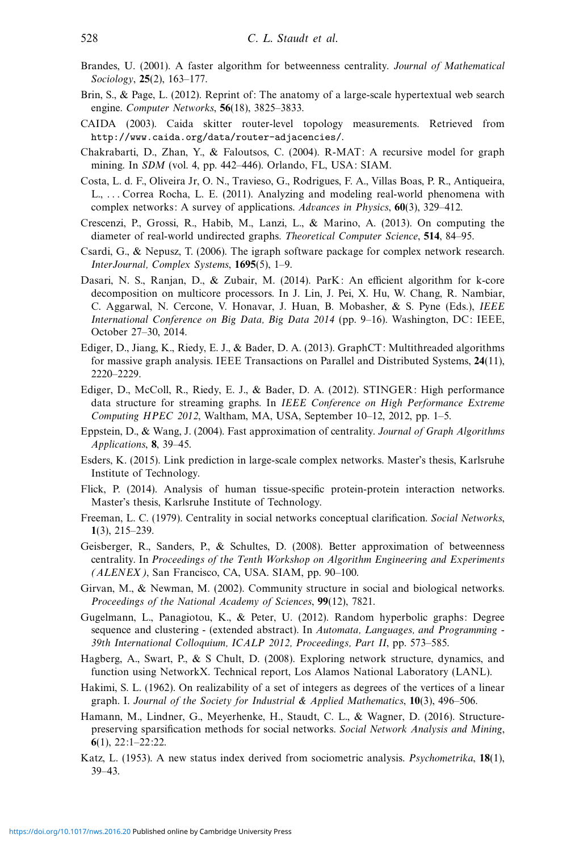- Brandes, U. (2001). A faster algorithm for betweenness centrality. Journal of Mathematical Sociology, **25**(2), 163–177.
- Brin, S., & Page, L. (2012). Reprint of: The anatomy of a large-scale hypertextual web search engine. Computer Networks, **56**(18), 3825–3833.
- CAIDA (2003). Caida skitter router-level topology measurements. Retrieved from http://www.caida.org/data/router-adjacencies/.
- Chakrabarti, D., Zhan, Y., & Faloutsos, C. (2004). R-MAT: A recursive model for graph mining. In SDM (vol. 4, pp. 442–446). Orlando, FL, USA: SIAM.
- Costa, L. d. F., Oliveira Jr, O. N., Travieso, G., Rodrigues, F. A., Villas Boas, P. R., Antiqueira, L., . . . Correa Rocha, L. E. (2011). Analyzing and modeling real-world phenomena with complex networks: A survey of applications. Advances in Physics, **60**(3), 329–412.
- Crescenzi, P., Grossi, R., Habib, M., Lanzi, L., & Marino, A. (2013). On computing the diameter of real-world undirected graphs. Theoretical Computer Science, **514**, 84–95.
- Csardi, G., & Nepusz, T. (2006). The igraph software package for complex network research. InterJournal, Complex Systems, **1695**(5), 1–9.
- Dasari, N. S., Ranjan, D., & Zubair, M. (2014). ParK: An efficient algorithm for k-core decomposition on multicore processors. In J. Lin, J. Pei, X. Hu, W. Chang, R. Nambiar, C. Aggarwal, N. Cercone, V. Honavar, J. Huan, B. Mobasher, & S. Pyne (Eds.), IEEE International Conference on Big Data, Big Data 2014 (pp. 9–16). Washington, DC: IEEE, October 27–30, 2014.
- Ediger, D., Jiang, K., Riedy, E. J., & Bader, D. A. (2013). GraphCT: Multithreaded algorithms for massive graph analysis. IEEE Transactions on Parallel and Distributed Systems, **24**(11), 2220–2229.
- Ediger, D., McColl, R., Riedy, E. J., & Bader, D. A. (2012). STINGER: High performance data structure for streaming graphs. In IEEE Conference on High Performance Extreme Computing HPEC 2012, Waltham, MA, USA, September 10–12, 2012, pp. 1–5.
- Eppstein, D., & Wang, J. (2004). Fast approximation of centrality. Journal of Graph Algorithms Applications, **8**, 39–45.
- Esders, K. (2015). Link prediction in large-scale complex networks. Master's thesis, Karlsruhe Institute of Technology.
- Flick, P. (2014). Analysis of human tissue-specific protein-protein interaction networks. Master's thesis, Karlsruhe Institute of Technology.
- Freeman, L. C. (1979). Centrality in social networks conceptual clarification. Social Networks, **1**(3), 215–239.
- Geisberger, R., Sanders, P., & Schultes, D. (2008). Better approximation of betweenness centrality. In Proceedings of the Tenth Workshop on Algorithm Engineering and Experiments (ALENEX), San Francisco, CA, USA. SIAM, pp. 90–100.
- Girvan, M., & Newman, M. (2002). Community structure in social and biological networks. Proceedings of the National Academy of Sciences, **99**(12), 7821.
- Gugelmann, L., Panagiotou, K., & Peter, U. (2012). Random hyperbolic graphs: Degree sequence and clustering - (extended abstract). In Automata, Languages, and Programming -39th International Colloquium, ICALP 2012, Proceedings, Part II, pp. 573–585.
- Hagberg, A., Swart, P., & S Chult, D. (2008). Exploring network structure, dynamics, and function using NetworkX. Technical report, Los Alamos National Laboratory (LANL).
- Hakimi, S. L. (1962). On realizability of a set of integers as degrees of the vertices of a linear graph. I. Journal of the Society for Industrial & Applied Mathematics, **10**(3), 496–506.
- Hamann, M., Lindner, G., Meyerhenke, H., Staudt, C. L., & Wagner, D. (2016). Structurepreserving sparsification methods for social networks. Social Network Analysis and Mining, **6**(1), 22:1–22:22.
- Katz, L. (1953). A new status index derived from sociometric analysis. Psychometrika, **18**(1), 39–43.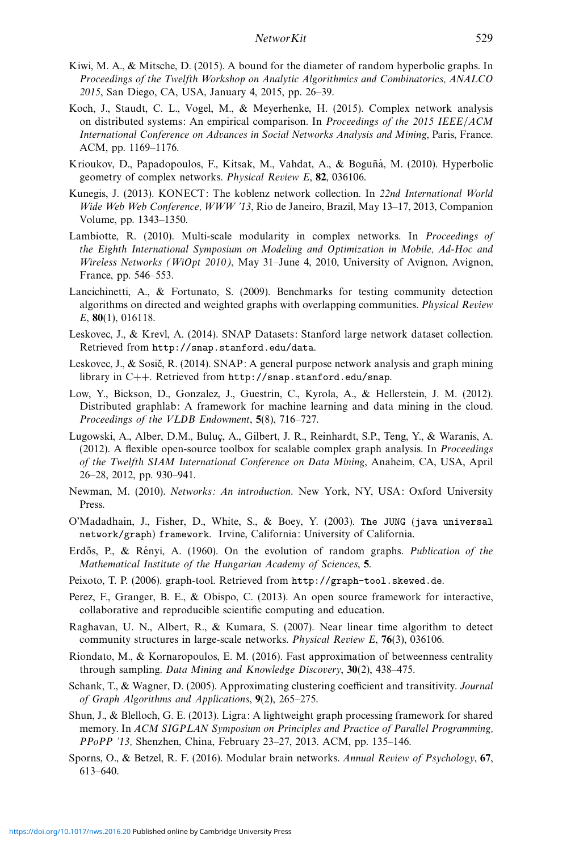- Kiwi, M. A., & Mitsche, D. (2015). A bound for the diameter of random hyperbolic graphs. In Proceedings of the Twelfth Workshop on Analytic Algorithmics and Combinatorics, ANALCO 2015, San Diego, CA, USA, January 4, 2015, pp. 26–39.
- Koch, J., Staudt, C. L., Vogel, M., & Meyerhenke, H. (2015). Complex network analysis on distributed systems: An empirical comparison. In Proceedings of the 2015 IEEE/ACM International Conference on Advances in Social Networks Analysis and Mining, Paris, France. ACM, pp. 1169–1176.
- Krioukov, D., Papadopoulos, F., Kitsak, M., Vahdat, A., & Boguñá, M. (2010). Hyperbolic geometry of complex networks. Physical Review E, **82**, 036106.
- Kunegis, J. (2013). KONECT: The koblenz network collection. In 22nd International World Wide Web Web Conference, WWW '13, Rio de Janeiro, Brazil, May 13–17, 2013, Companion Volume, pp. 1343–1350.
- Lambiotte, R. (2010). Multi-scale modularity in complex networks. In Proceedings of the Eighth International Symposium on Modeling and Optimization in Mobile, Ad-Hoc and Wireless Networks (WiOpt 2010), May 31–June 4, 2010, University of Avignon, Avignon, France, pp. 546–553.
- Lancichinetti, A., & Fortunato, S. (2009). Benchmarks for testing community detection algorithms on directed and weighted graphs with overlapping communities. Physical Review E, **80**(1), 016118.
- Leskovec, J., & Krevl, A. (2014). SNAP Datasets: Stanford large network dataset collection. Retrieved from http://snap.stanford.edu/data.
- Leskovec, J., & Sosič, R. (2014). SNAP: A general purpose network analysis and graph mining library in C++. Retrieved from http://snap.stanford.edu/snap.
- Low, Y., Bickson, D., Gonzalez, J., Guestrin, C., Kyrola, A., & Hellerstein, J. M. (2012). Distributed graphlab: A framework for machine learning and data mining in the cloud. Proceedings of the VLDB Endowment, **5**(8), 716–727.
- Lugowski, A., Alber, D.M., Buluc¸, A., Gilbert, J. R., Reinhardt, S.P., Teng, Y., & Waranis, A. (2012). A flexible open-source toolbox for scalable complex graph analysis. In Proceedings of the Twelfth SIAM International Conference on Data Mining, Anaheim, CA, USA, April 26–28, 2012, pp. 930–941.
- Newman, M. (2010). Networks: An introduction. New York, NY, USA: Oxford University Press.
- O'Madadhain, J., Fisher, D., White, S., & Boey, Y. (2003). The JUNG (java universal network/graph) framework. Irvine, California: University of California.
- Erdős, P.,  $\&$  Rényi, A. (1960). On the evolution of random graphs. Publication of the Mathematical Institute of the Hungarian Academy of Sciences, **5**.
- Peixoto, T. P. (2006). graph-tool. Retrieved from http://graph-tool.skewed.de.
- Perez, F., Granger, B. E., & Obispo, C. (2013). An open source framework for interactive, collaborative and reproducible scientific computing and education.
- Raghavan, U. N., Albert, R., & Kumara, S. (2007). Near linear time algorithm to detect community structures in large-scale networks. Physical Review E, **76**(3), 036106.
- Riondato, M., & Kornaropoulos, E. M. (2016). Fast approximation of betweenness centrality through sampling. Data Mining and Knowledge Discovery, **30**(2), 438–475.
- Schank, T., & Wagner, D. (2005). Approximating clustering coefficient and transitivity. Journal of Graph Algorithms and Applications, **9**(2), 265–275.
- Shun, J., & Blelloch, G. E. (2013). Ligra: A lightweight graph processing framework for shared memory. In ACM SIGPLAN Symposium on Principles and Practice of Parallel Programming, PPoPP '13, Shenzhen, China, February 23–27, 2013. ACM, pp. 135–146.
- Sporns, O., & Betzel, R. F. (2016). Modular brain networks. Annual Review of Psychology, **67**, 613–640.